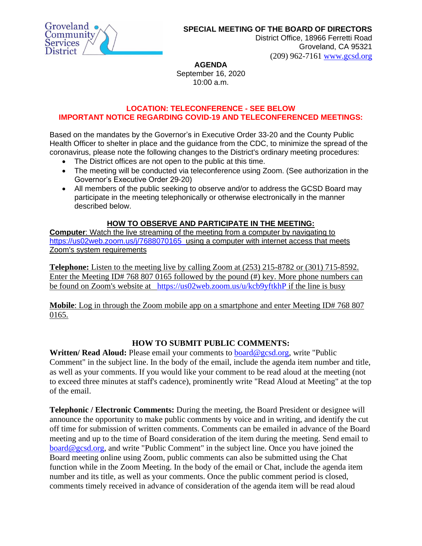**SPECIAL MEETING OF THE BOARD OF DIRECTORS**



District Office, 18966 Ferretti Road Groveland, CA 95321 (209) 962-7161 [www.gcsd.org](http://www.gcsd.org/)

**AGENDA**

September 16, 2020 10:00 a.m.

## **LOCATION: TELECONFERENCE - SEE BELOW IMPORTANT NOTICE REGARDING COVID-19 AND TELECONFERENCED MEETINGS:**

Based on the mandates by the Governor's in Executive Order 33-20 and the County Public Health Officer to shelter in place and the guidance from the CDC, to minimize the spread of the coronavirus, please note the following changes to the District's ordinary meeting procedures:

- The District offices are not open to the public at this time.
- The meeting will be conducted via teleconference using Zoom. (See authorization in the Governor's Executive Order 29-20)
- All members of the public seeking to observe and/or to address the GCSD Board may participate in the meeting telephonically or otherwise electronically in the manner described below.

# **HOW TO OBSERVE AND PARTICIPATE IN THE MEETING:**

**Computer:** Watch the live streaming of the meeting from a computer by navigating to <https://us02web.zoom.us/j/7688070165>using a computer with internet access that meets Zoom's system requirements

**Telephone:** Listen to the meeting live by calling Zoom at (253) 215-8782 or (301) 715-8592. Enter the Meeting ID# 768 807 0165 followed by the pound (#) key. More phone numbers can be found on Zoom's website at <https://us02web.zoom.us/u/kcb9yftkhP> if the line is busy

**Mobile**: Log in through the Zoom mobile app on a smartphone and enter Meeting ID# 768 807 0165.

# **HOW TO SUBMIT PUBLIC COMMENTS:**

**Written/ Read Aloud:** Please email your comments to [board@gcsd.org,](mailto:board@gcsd.org) write "Public Comment" in the subject line. In the body of the email, include the agenda item number and title, as well as your comments. If you would like your comment to be read aloud at the meeting (not to exceed three minutes at staff's cadence), prominently write "Read Aloud at Meeting" at the top of the email.

**Telephonic / Electronic Comments:** During the meeting, the Board President or designee will announce the opportunity to make public comments by voice and in writing, and identify the cut off time for submission of written comments. Comments can be emailed in advance of the Board meeting and up to the time of Board consideration of the item during the meeting. Send email to [board@gcsd.org,](mailto:board@gcsd.org) and write "Public Comment" in the subject line. Once you have joined the Board meeting online using Zoom, public comments can also be submitted using the Chat function while in the Zoom Meeting. In the body of the email or Chat, include the agenda item number and its title, as well as your comments. Once the public comment period is closed, comments timely received in advance of consideration of the agenda item will be read aloud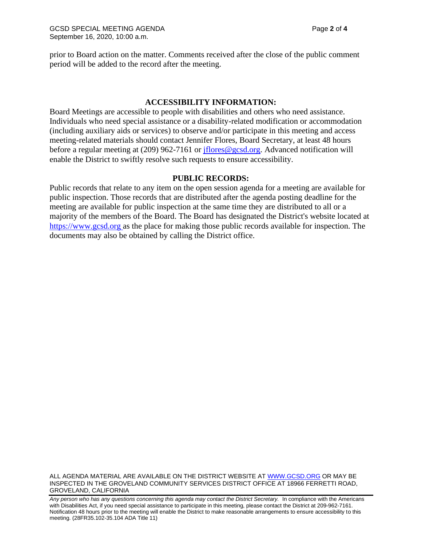prior to Board action on the matter. Comments received after the close of the public comment period will be added to the record after the meeting.

# **ACCESSIBILITY INFORMATION:**

Board Meetings are accessible to people with disabilities and others who need assistance. Individuals who need special assistance or a disability-related modification or accommodation (including auxiliary aids or services) to observe and/or participate in this meeting and access meeting-related materials should contact Jennifer Flores, Board Secretary, at least 48 hours before a regular meeting at (209) 962-7161 or [jflores@gcsd.org.](mailto:jflores@gcsd.org) Advanced notification will enable the District to swiftly resolve such requests to ensure accessibility.

## **PUBLIC RECORDS:**

Public records that relate to any item on the open session agenda for a meeting are available for public inspection. Those records that are distributed after the agenda posting deadline for the meeting are available for public inspection at the same time they are distributed to all or a majority of the members of the Board. The Board has designated the District's website located at [https://www.gcsd.org](https://www.gcsd.org/) as the place for making those public records available for inspection. The documents may also be obtained by calling the District office.

ALL AGENDA MATERIAL ARE AVAILABLE ON THE DISTRICT WEBSITE AT [WWW.GCSD.ORG](http://www.gcsd.org/) OR MAY BE INSPECTED IN THE GROVELAND COMMUNITY SERVICES DISTRICT OFFICE AT 18966 FERRETTI ROAD, GROVELAND, CALIFORNIA

Any person who has any questions concerning this agenda may contact the District Secretary. In compliance with the Americans with Disabilities Act, if you need special assistance to participate in this meeting, please contact the District at 209-962-7161. Notification 48 hours prior to the meeting will enable the District to make reasonable arrangements to ensure accessibility to this meeting. (28FR35.102-35.104 ADA Title 11)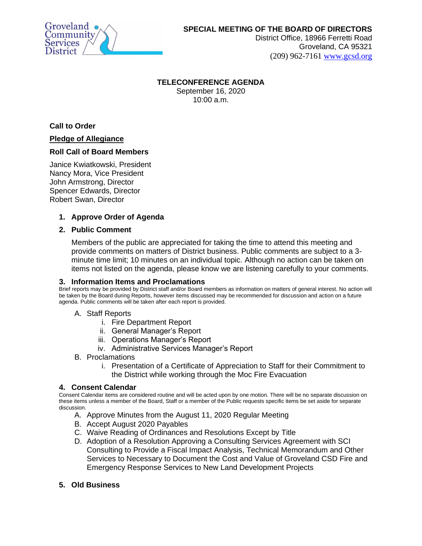

**SPECIAL MEETING OF THE BOARD OF DIRECTORS**

District Office, 18966 Ferretti Road Groveland, CA 95321 (209) 962-7161 [www.gcsd.org](http://www.gcsd.org/)

#### **TELECONFERENCE AGENDA** September 16, 2020

10:00 a.m.

**Call to Order**

## **Pledge of Allegiance**

## **Roll Call of Board Members**

Janice Kwiatkowski, President Nancy Mora, Vice President John Armstrong, Director Spencer Edwards, Director Robert Swan, Director

### **1. Approve Order of Agenda**

### **2. Public Comment**

Members of the public are appreciated for taking the time to attend this meeting and provide comments on matters of District business. Public comments are subject to a 3 minute time limit; 10 minutes on an individual topic. Although no action can be taken on items not listed on the agenda, please know we are listening carefully to your comments.

### **3. Information Items and Proclamations**

Brief reports may be provided by District staff and/or Board members as information on matters of general interest. No action will be taken by the Board during Reports, however items discussed may be recommended for discussion and action on a future agenda. Public comments will be taken after each report is provided.

### A. Staff Reports

- i. Fire Department Report
- ii. General Manager's Report
- iii. Operations Manager's Report
- iv. Administrative Services Manager's Report

### B. Proclamations

i. Presentation of a Certificate of Appreciation to Staff for their Commitment to the District while working through the Moc Fire Evacuation

### **4. Consent Calendar**

Consent Calendar items are considered routine and will be acted upon by one motion. There will be no separate discussion on these items unless a member of the Board, Staff or a member of the Public requests specific items be set aside for separate discussion.

- A. Approve Minutes from the August 11, 2020 Regular Meeting
- B. Accept August 2020 Payables
- C. Waive Reading of Ordinances and Resolutions Except by Title
- D. Adoption of a Resolution Approving a Consulting Services Agreement with SCI Consulting to Provide a Fiscal Impact Analysis, Technical Memorandum and Other Services to Necessary to Document the Cost and Value of Groveland CSD Fire and Emergency Response Services to New Land Development Projects

## **5. Old Business**